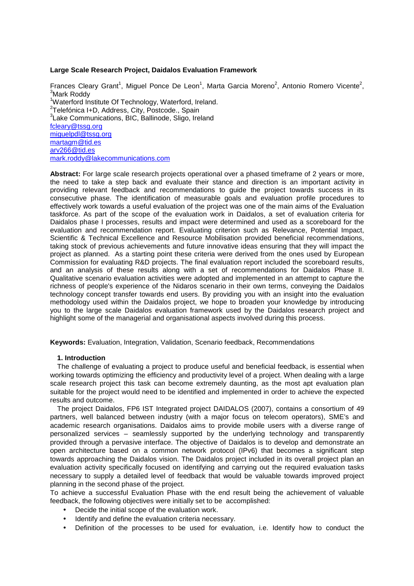#### **Large Scale Research Project, Daidalos Evaluation Framework**

Frances Cleary Grant<sup>1</sup>, Miguel Ponce De Leon<sup>1</sup>, Marta Garcia Moreno<sup>2</sup>, Antonio Romero Vicente<sup>2</sup>, <sup>3</sup>Mark Roddv <sup>1</sup>Waterford Institute Of Technology, Waterford, Ireland. <sup>2</sup>Telefónica I+D, Address, City, Postcode., Spain <sup>3</sup>Lake Communications, BIC, Ballinode, Sligo, Ireland fcleary@tssg.org miguelpdl@tssg.org martagm@tid.es arv266@tid.es mark.roddy@lakecommunications.com

**Abstract:** For large scale research projects operational over a phased timeframe of 2 years or more, the need to take a step back and evaluate their stance and direction is an important activity in providing relevant feedback and recommendations to guide the project towards success in its consecutive phase. The identification of measurable goals and evaluation profile procedures to effectively work towards a useful evaluation of the project was one of the main aims of the Evaluation taskforce. As part of the scope of the evaluation work in Daidalos, a set of evaluation criteria for Daidalos phase I processes, results and impact were determined and used as a scoreboard for the evaluation and recommendation report. Evaluating criterion such as Relevance, Potential Impact, Scientific & Technical Excellence and Resource Mobilisation provided beneficial recommendations, taking stock of previous achievements and future innovative ideas ensuring that they will impact the project as planned. As a starting point these criteria were derived from the ones used by European Commission for evaluating R&D projects. The final evaluation report included the scoreboard results, and an analysis of these results along with a set of recommendations for Daidalos Phase II. Qualitative scenario evaluation activities were adopted and implemented in an attempt to capture the richness of people's experience of the Nidaros scenario in their own terms, conveying the Daidalos technology concept transfer towards end users. By providing you with an insight into the evaluation methodology used within the Daidalos project, we hope to broaden your knowledge by introducing you to the large scale Daidalos evaluation framework used by the Daidalos research project and highlight some of the managerial and organisational aspects involved during this process.

**Keywords:** Evaluation, Integration, Validation, Scenario feedback, Recommendations

## **1. Introduction**

The challenge of evaluating a project to produce useful and beneficial feedback, is essential when working towards optimizing the efficiency and productivity level of a project. When dealing with a large scale research project this task can become extremely daunting, as the most apt evaluation plan suitable for the project would need to be identified and implemented in order to achieve the expected results and outcome.

The project Daidalos, FP6 IST Integrated project DAIDALOS (2007), contains a consortium of 49 partners, well balanced between industry (with a major focus on telecom operators), SME's and academic research organisations. Daidalos aims to provide mobile users with a diverse range of personalized services – seamlessly supported by the underlying technology and transparently provided through a pervasive interface. The objective of Daidalos is to develop and demonstrate an open architecture based on a common network protocol (IPv6) that becomes a significant step towards approaching the Daidalos vision. The Daidalos project included in its overall project plan an evaluation activity specifically focused on identifying and carrying out the required evaluation tasks necessary to supply a detailed level of feedback that would be valuable towards improved project planning in the second phase of the project.

To achieve a successful Evaluation Phase with the end result being the achievement of valuable feedback, the following objectives were initially set to be accomplished:

- Decide the initial scope of the evaluation work.
- Identify and define the evaluation criteria necessary.
- Definition of the processes to be used for evaluation, i.e. Identify how to conduct the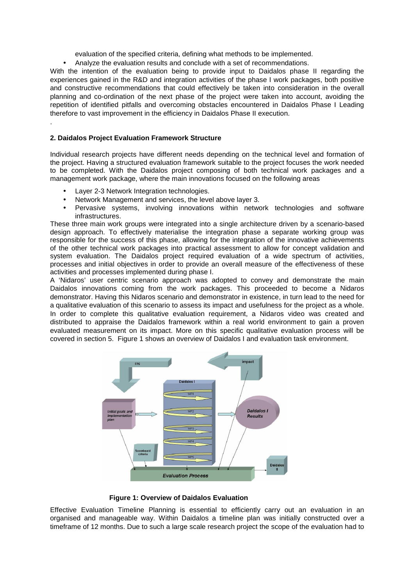evaluation of the specified criteria, defining what methods to be implemented.

• Analyze the evaluation results and conclude with a set of recommendations.

With the intention of the evaluation being to provide input to Daidalos phase II regarding the experiences gained in the R&D and integration activities of the phase I work packages, both positive and constructive recommendations that could effectively be taken into consideration in the overall planning and co-ordination of the next phase of the project were taken into account, avoiding the repetition of identified pitfalls and overcoming obstacles encountered in Daidalos Phase I Leading therefore to vast improvement in the efficiency in Daidalos Phase II execution.

## **2. Daidalos Project Evaluation Framework Structure**

.

Individual research projects have different needs depending on the technical level and formation of the project. Having a structured evaluation framework suitable to the project focuses the work needed to be completed. With the Daidalos project composing of both technical work packages and a management work package, where the main innovations focused on the following areas

- Layer 2-3 Network Integration technologies.
- Network Management and services, the level above layer 3.
- Pervasive systems, involving innovations within network technologies and software infrastructures.

These three main work groups were integrated into a single architecture driven by a scenario-based design approach. To effectively materialise the integration phase a separate working group was responsible for the success of this phase, allowing for the integration of the innovative achievements of the other technical work packages into practical assessment to allow for concept validation and system evaluation. The Daidalos project required evaluation of a wide spectrum of activities, processes and initial objectives in order to provide an overall measure of the effectiveness of these activities and processes implemented during phase I.

A 'Nidaros' user centric scenario approach was adopted to convey and demonstrate the main Daidalos innovations coming from the work packages. This proceeded to become a Nidaros demonstrator. Having this Nidaros scenario and demonstrator in existence, in turn lead to the need for a qualitative evaluation of this scenario to assess its impact and usefulness for the project as a whole. In order to complete this qualitative evaluation requirement, a Nidaros video was created and distributed to appraise the Daidalos framework within a real world environment to gain a proven evaluated measurement on its impact. More on this specific qualitative evaluation process will be covered in section 5. Figure 1 shows an overview of Daidalos I and evaluation task environment.



 **Figure 1: Overview of Daidalos Evaluation** 

Effective Evaluation Timeline Planning is essential to efficiently carry out an evaluation in an organised and manageable way. Within Daidalos a timeline plan was initially constructed over a timeframe of 12 months. Due to such a large scale research project the scope of the evaluation had to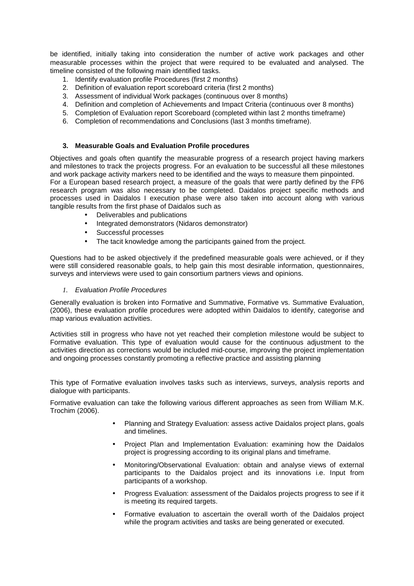be identified, initially taking into consideration the number of active work packages and other measurable processes within the project that were required to be evaluated and analysed. The timeline consisted of the following main identified tasks.

- 1. Identify evaluation profile Procedures (first 2 months)
- 2. Definition of evaluation report scoreboard criteria (first 2 months)
- 3. Assessment of individual Work packages (continuous over 8 months)
- 4. Definition and completion of Achievements and Impact Criteria (continuous over 8 months)
- 5. Completion of Evaluation report Scoreboard (completed within last 2 months timeframe)
- 6. Completion of recommendations and Conclusions (last 3 months timeframe).

### **3. Measurable Goals and Evaluation Profile procedures**

Objectives and goals often quantify the measurable progress of a research project having markers and milestones to track the projects progress. For an evaluation to be successful all these milestones and work package activity markers need to be identified and the ways to measure them pinpointed. For a European based research project, a measure of the goals that were partly defined by the FP6 research program was also necessary to be completed. Daidalos project specific methods and processes used in Daidalos I execution phase were also taken into account along with various tangible results from the first phase of Daidalos such as

- Deliverables and publications
- Integrated demonstrators (Nidaros demonstrator)
- Successful processes
- The tacit knowledge among the participants gained from the project.

Questions had to be asked objectively if the predefined measurable goals were achieved, or if they were still considered reasonable goals, to help gain this most desirable information, questionnaires, surveys and interviews were used to gain consortium partners views and opinions.

#### *1.* Evaluation Profile Procedures

Generally evaluation is broken into Formative and Summative, Formative vs. Summative Evaluation, (2006), these evaluation profile procedures were adopted within Daidalos to identify, categorise and map various evaluation activities.

Activities still in progress who have not yet reached their completion milestone would be subject to Formative evaluation. This type of evaluation would cause for the continuous adjustment to the activities direction as corrections would be included mid-course, improving the project implementation and ongoing processes constantly promoting a reflective practice and assisting planning

This type of Formative evaluation involves tasks such as interviews, surveys, analysis reports and dialogue with participants.

Formative evaluation can take the following various different approaches as seen from William M.K. Trochim (2006).

- Planning and Strategy Evaluation: assess active Daidalos project plans, goals and timelines.
- Project Plan and Implementation Evaluation: examining how the Daidalos project is progressing according to its original plans and timeframe.
- Monitoring/Observational Evaluation: obtain and analyse views of external participants to the Daidalos project and its innovations i.e. Input from participants of a workshop.
- Progress Evaluation: assessment of the Daidalos projects progress to see if it is meeting its required targets.
- Formative evaluation to ascertain the overall worth of the Daidalos project while the program activities and tasks are being generated or executed.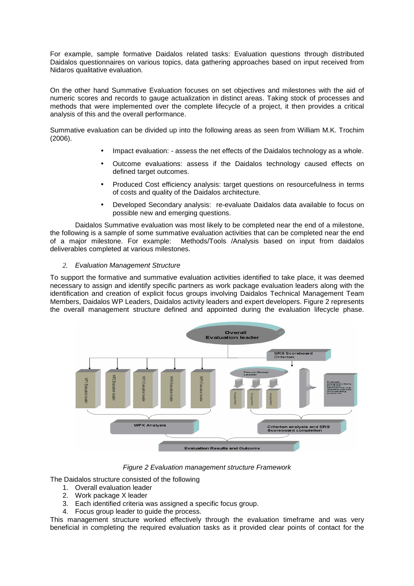For example, sample formative Daidalos related tasks: Evaluation questions through distributed Daidalos questionnaires on various topics, data gathering approaches based on input received from Nidaros qualitative evaluation.

On the other hand Summative Evaluation focuses on set objectives and milestones with the aid of numeric scores and records to gauge actualization in distinct areas. Taking stock of processes and methods that were implemented over the complete lifecycle of a project, it then provides a critical analysis of this and the overall performance.

Summative evaluation can be divided up into the following areas as seen from William M.K. Trochim (2006).

- Impact evaluation: assess the net effects of the Daidalos technology as a whole.
- Outcome evaluations: assess if the Daidalos technology caused effects on defined target outcomes.
- Produced Cost efficiency analysis: target questions on resourcefulness in terms of costs and quality of the Daidalos architecture.
- Developed Secondary analysis: re-evaluate Daidalos data available to focus on possible new and emerging questions.

 Daidalos Summative evaluation was most likely to be completed near the end of a milestone, the following is a sample of some summative evaluation activities that can be completed near the end of a major milestone. For example: Methods/Tools /Analysis based on input from daidalos deliverables completed at various milestones.

### *2.* Evaluation Management Structure

To support the formative and summative evaluation activities identified to take place, it was deemed necessary to assign and identify specific partners as work package evaluation leaders along with the identification and creation of explicit focus groups involving Daidalos Technical Management Team Members, Daidalos WP Leaders, Daidalos activity leaders and expert developers. Figure 2 represents the overall management structure defined and appointed during the evaluation lifecycle phase.



Figure 2 Evaluation management structure Framework

The Daidalos structure consisted of the following

- 1. Overall evaluation leader
- 2. Work package X leader
- Each identified criteria was assigned a specific focus group.
- 4. Focus group leader to guide the process.

This management structure worked effectively through the evaluation timeframe and was very beneficial in completing the required evaluation tasks as it provided clear points of contact for the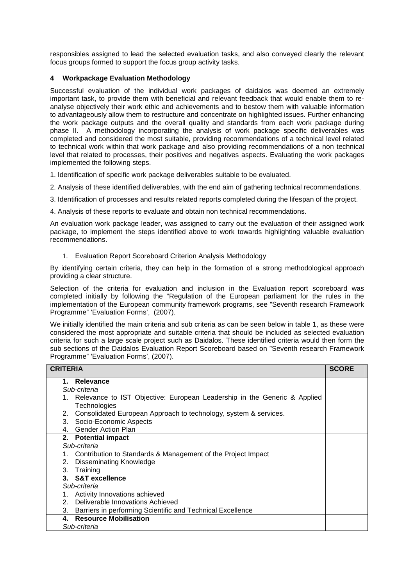responsibles assigned to lead the selected evaluation tasks, and also conveyed clearly the relevant focus groups formed to support the focus group activity tasks.

# **4 Workpackage Evaluation Methodology**

Successful evaluation of the individual work packages of daidalos was deemed an extremely important task, to provide them with beneficial and relevant feedback that would enable them to reanalyse objectively their work ethic and achievements and to bestow them with valuable information to advantageously allow them to restructure and concentrate on highlighted issues. Further enhancing the work package outputs and the overall quality and standards from each work package during phase II. A methodology incorporating the analysis of work package specific deliverables was completed and considered the most suitable, providing recommendations of a technical level related to technical work within that work package and also providing recommendations of a non technical level that related to processes, their positives and negatives aspects. Evaluating the work packages implemented the following steps.

1. Identification of specific work package deliverables suitable to be evaluated.

2. Analysis of these identified deliverables, with the end aim of gathering technical recommendations.

3. Identification of processes and results related reports completed during the lifespan of the project.

4. Analysis of these reports to evaluate and obtain non technical recommendations.

An evaluation work package leader, was assigned to carry out the evaluation of their assigned work package, to implement the steps identified above to work towards highlighting valuable evaluation recommendations.

1. Evaluation Report Scoreboard Criterion Analysis Methodology

By identifying certain criteria, they can help in the formation of a strong methodological approach providing a clear structure.

Selection of the criteria for evaluation and inclusion in the Evaluation report scoreboard was completed initially by following the "Regulation of the European parliament for the rules in the implementation of the European community framework programs, see "Seventh research Framework Programme" 'Evaluation Forms', (2007).

We initially identified the main criteria and sub criteria as can be seen below in table 1, as these were considered the most appropriate and suitable criteria that should be included as selected evaluation criteria for such a large scale project such as Daidalos. These identified criteria would then form the sub sections of the Daidalos Evaluation Report Scoreboard based on "Seventh research Framework Programme" 'Evaluation Forms', (2007).

| <b>CRITERIA</b>                                                             | <b>SCORE</b> |
|-----------------------------------------------------------------------------|--------------|
| 1. Relevance                                                                |              |
| Sub-criteria                                                                |              |
| 1. Relevance to IST Objective: European Leadership in the Generic & Applied |              |
| Technologies                                                                |              |
| Consolidated European Approach to technology, system & services.<br>2.      |              |
| 3. Socio-Economic Aspects                                                   |              |
| 4. Gender Action Plan                                                       |              |
| 2. Potential impact                                                         |              |
| Sub-criteria                                                                |              |
| Contribution to Standards & Management of the Project Impact<br>1.          |              |
| <b>Disseminating Knowledge</b><br>2.                                        |              |
| 3. Training                                                                 |              |
| 3. S&T excellence                                                           |              |
| Sub-criteria                                                                |              |
| Activity Innovations achieved<br>1.                                         |              |
| Deliverable Innovations Achieved<br>2 <sup>1</sup>                          |              |
| Barriers in performing Scientific and Technical Excellence<br>3.            |              |
| 4. Resource Mobilisation                                                    |              |
| Sub-criteria                                                                |              |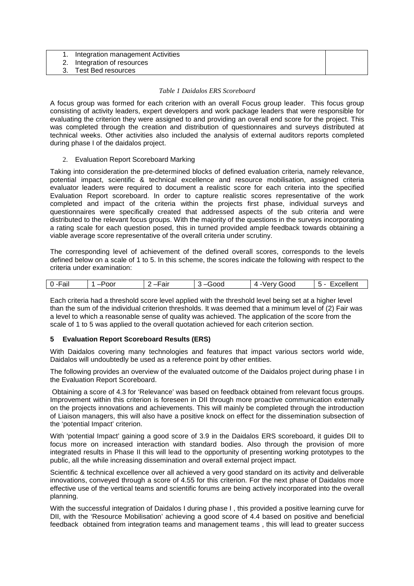|  | Integration management Activities |
|--|-----------------------------------|
|--|-----------------------------------|

2. Integration of resources

3. Test Bed resources

### *Table 1 Daidalos ERS Scoreboard*

A focus group was formed for each criterion with an overall Focus group leader. This focus group consisting of activity leaders, expert developers and work package leaders that were responsible for evaluating the criterion they were assigned to and providing an overall end score for the project. This was completed through the creation and distribution of questionnaires and surveys distributed at technical weeks. Other activities also included the analysis of external auditors reports completed during phase I of the daidalos project.

### 2. Evaluation Report Scoreboard Marking

Taking into consideration the pre-determined blocks of defined evaluation criteria, namely relevance, potential impact, scientific & technical excellence and resource mobilisation, assigned criteria evaluator leaders were required to document a realistic score for each criteria into the specified Evaluation Report scoreboard. In order to capture realistic scores representative of the work completed and impact of the criteria within the projects first phase, individual surveys and questionnaires were specifically created that addressed aspects of the sub criteria and were distributed to the relevant focus groups. With the majority of the questions in the surveys incorporating a rating scale for each question posed, this in turned provided ample feedback towards obtaining a viable average score representative of the overall criteria under scrutiny.

The corresponding level of achievement of the defined overall scores, corresponds to the levels defined below on a scale of 1 to 5. In this scheme, the scores indicate the following with respect to the criteria under examination:

| 0<br>all | 'QC. | - | $\sim$ $\sim$ $\sim$<br>JU |  |
|----------|------|---|----------------------------|--|
|          |      |   |                            |  |

Each criteria had a threshold score level applied with the threshold level being set at a higher level than the sum of the individual criterion thresholds. It was deemed that a minimum level of (2) Fair was a level to which a reasonable sense of quality was achieved. The application of the score from the scale of 1 to 5 was applied to the overall quotation achieved for each criterion section.

## **5 Evaluation Report Scoreboard Results (ERS)**

With Daidalos covering many technologies and features that impact various sectors world wide. Daidalos will undoubtedly be used as a reference point by other entities.

The following provides an overview of the evaluated outcome of the Daidalos project during phase I in the Evaluation Report Scoreboard.

 Obtaining a score of 4.3 for 'Relevance' was based on feedback obtained from relevant focus groups. Improvement within this criterion is foreseen in DII through more proactive communication externally on the projects innovations and achievements. This will mainly be completed through the introduction of Liaison managers, this will also have a positive knock on effect for the dissemination subsection of the 'potential Impact' criterion.

With 'potential Impact' gaining a good score of 3.9 in the Daidalos ERS scoreboard, it guides DII to focus more on increased interaction with standard bodies. Also through the provision of more integrated results in Phase II this will lead to the opportunity of presenting working prototypes to the public, all the while increasing dissemination and overall external project impact.

Scientific & technical excellence over all achieved a very good standard on its activity and deliverable innovations, conveyed through a score of 4.55 for this criterion. For the next phase of Daidalos more effective use of the vertical teams and scientific forums are being actively incorporated into the overall planning.

With the successful integration of Daidalos I during phase I, this provided a positive learning curve for DII, with the 'Resource Mobilisation' achieving a good score of 4.4 based on positive and beneficial feedback obtained from integration teams and management teams , this will lead to greater success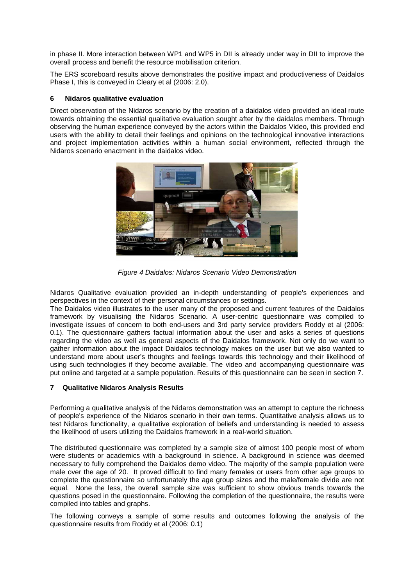in phase II. More interaction between WP1 and WP5 in DII is already under way in DII to improve the overall process and benefit the resource mobilisation criterion.

The ERS scoreboard results above demonstrates the positive impact and productiveness of Daidalos Phase I, this is conveyed in Cleary et al (2006: 2.0).

### **6 Nidaros qualitative evaluation**

Direct observation of the Nidaros scenario by the creation of a daidalos video provided an ideal route towards obtaining the essential qualitative evaluation sought after by the daidalos members. Through observing the human experience conveyed by the actors within the Daidalos Video, this provided end users with the ability to detail their feelings and opinions on the technological innovative interactions and project implementation activities within a human social environment, reflected through the Nidaros scenario enactment in the daidalos video.



Figure 4 Daidalos: Nidaros Scenario Video Demonstration

Nidaros Qualitative evaluation provided an in-depth understanding of people's experiences and perspectives in the context of their personal circumstances or settings.

The Daidalos video illustrates to the user many of the proposed and current features of the Daidalos framework by visualising the Nidaros Scenario. A user-centric questionnaire was compiled to investigate issues of concern to both end-users and 3rd party service providers Roddy et al (2006: 0.1). The questionnaire gathers factual information about the user and asks a series of questions regarding the video as well as general aspects of the Daidalos framework. Not only do we want to gather information about the impact Daidalos technology makes on the user but we also wanted to understand more about user's thoughts and feelings towards this technology and their likelihood of using such technologies if they become available. The video and accompanying questionnaire was put online and targeted at a sample population. Results of this questionnaire can be seen in section 7.

## **7 Qualitative Nidaros Analysis Results**

Performing a qualitative analysis of the Nidaros demonstration was an attempt to capture the richness of people's experience of the Nidaros scenario in their own terms. Quantitative analysis allows us to test Nidaros functionality, a qualitative exploration of beliefs and understanding is needed to assess the likelihood of users utilizing the Daidalos framework in a real-world situation.

The distributed questionnaire was completed by a sample size of almost 100 people most of whom were students or academics with a background in science. A background in science was deemed necessary to fully comprehend the Daidalos demo video. The majority of the sample population were male over the age of 20. It proved difficult to find many females or users from other age groups to complete the questionnaire so unfortunately the age group sizes and the male/female divide are not equal. None the less, the overall sample size was sufficient to show obvious trends towards the questions posed in the questionnaire. Following the completion of the questionnaire, the results were compiled into tables and graphs.

The following conveys a sample of some results and outcomes following the analysis of the questionnaire results from Roddy et al (2006: 0.1)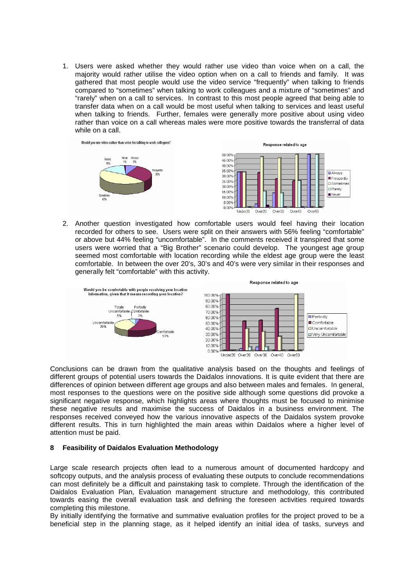1. Users were asked whether they would rather use video than voice when on a call, the majority would rather utilise the video option when on a call to friends and family. It was gathered that most people would use the video service "frequently" when talking to friends compared to "sometimes" when talking to work colleagues and a mixture of "sometimes" and "rarely" when on a call to services. In contrast to this most people agreed that being able to transfer data when on a call would be most useful when talking to services and least useful when talking to friends. Further, females were generally more positive about using video rather than voice on a call whereas males were more positive towards the transferral of data while on a call.



2. Another question investigated how comfortable users would feel having their location recorded for others to see. Users were split on their answers with 56% feeling "comfortable" or above but 44% feeling "uncomfortable". In the comments received it transpired that some users were worried that a "Big Brother" scenario could develop. The youngest age group seemed most comfortable with location recording while the eldest age group were the least comfortable. In between the over 20's, 30's and 40's were very similar in their responses and generally felt "comfortable" with this activity.



Conclusions can be drawn from the qualitative analysis based on the thoughts and feelings of different groups of potential users towards the Daidalos innovations. It is quite evident that there are differences of opinion between different age groups and also between males and females. In general, most responses to the questions were on the positive side although some questions did provoke a significant negative response, which highlights areas where thoughts must be focused to minimise these negative results and maximise the success of Daidalos in a business environment. The responses received conveyed how the various innovative aspects of the Daidalos system provoke different results. This in turn highlighted the main areas within Daidalos where a higher level of attention must be paid.

### **8 Feasibility of Daidalos Evaluation Methodology**

Large scale research projects often lead to a numerous amount of documented hardcopy and softcopy outputs, and the analysis process of evaluating these outputs to conclude recommendations can most definitely be a difficult and painstaking task to complete. Through the identification of the Daidalos Evaluation Plan, Evaluation management structure and methodology, this contributed towards easing the overall evaluation task and defining the foreseen activities required towards completing this milestone.

By initially identifying the formative and summative evaluation profiles for the project proved to be a beneficial step in the planning stage, as it helped identify an initial idea of tasks, surveys and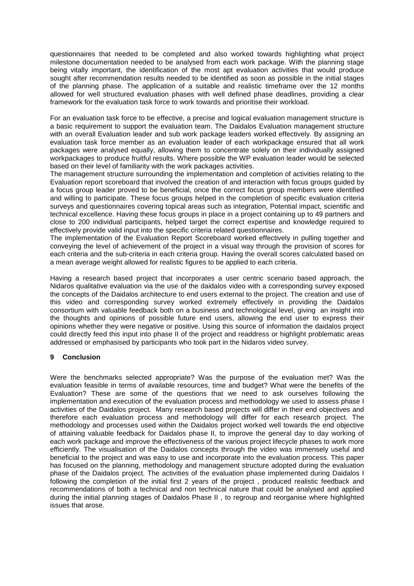questionnaires that needed to be completed and also worked towards highlighting what project milestone documentation needed to be analysed from each work package. With the planning stage being vitally important, the identification of the most apt evaluation activities that would produce sought after recommendation results needed to be identified as soon as possible in the initial stages of the planning phase. The application of a suitable and realistic timeframe over the 12 months allowed for well structured evaluation phases with well defined phase deadlines, providing a clear framework for the evaluation task force to work towards and prioritise their workload.

For an evaluation task force to be effective, a precise and logical evaluation management structure is a basic requirement to support the evaluation team. The Daidalos Evaluation management structure with an overall Evaluation leader and sub work package leaders worked effectively. By assigning an evaluation task force member as an evaluation leader of each workpackage ensured that all work packages were analysed equally, allowing them to concentrate solely on their individually assigned workpackages to produce fruitful results. Where possible the WP evaluation leader would be selected based on their level of familiarity with the work packages activities.

The management structure surrounding the implementation and completion of activities relating to the Evaluation report scoreboard that involved the creation of and interaction with focus groups guided by a focus group leader proved to be beneficial, once the correct focus group members were identified and willing to participate. These focus groups helped in the completion of specific evaluation criteria surveys and questionnaires covering topical areas such as integration, Potential impact, scientific and technical excellence. Having these focus groups in place in a project containing up to 49 partners and close to 200 individual participants, helped target the correct expertise and knowledge required to effectively provide valid input into the specific criteria related questionnaires.

The implementation of the Evaluation Report Scoreboard worked effectively in pulling together and conveying the level of achievement of the project in a visual way through the provision of scores for each criteria and the sub-criteria in each criteria group. Having the overall scores calculated based on a mean average weight allowed for realistic figures to be applied to each criteria.

Having a research based project that incorporates a user centric scenario based approach, the Nidaros qualitative evaluation via the use of the daidalos video with a corresponding survey exposed the concepts of the Daidalos architecture to end users external to the project. The creation and use of this video and corresponding survey worked extremely effectively in providing the Daidalos consortium with valuable feedback both on a business and technological level, giving an insight into the thoughts and opinions of possible future end users, allowing the end user to express their opinions whether they were negative or positive. Using this source of information the daidalos project could directly feed this input into phase II of the project and readdress or highlight problematic areas addressed or emphasised by participants who took part in the Nidaros video survey.

## **9 Conclusion**

Were the benchmarks selected appropriate? Was the purpose of the evaluation met? Was the evaluation feasible in terms of available resources, time and budget? What were the benefits of the Evaluation? These are some of the questions that we need to ask ourselves following the implementation and execution of the evaluation process and methodology we used to assess phase I activities of the Daidalos project. Many research based projects will differ in their end objectives and therefore each evaluation process and methodology will differ for each research project. The methodology and processes used within the Daidalos project worked well towards the end objective of attaining valuable feedback for Daidalos phase II, to improve the general day to day working of each work package and improve the effectiveness of the various project lifecycle phases to work more efficiently. The visualisation of the Daidalos concepts through the video was immensely useful and beneficial to the project and was easy to use and incorporate into the evaluation process. This paper has focused on the planning, methodology and management structure adopted during the evaluation phase of the Daidalos project. The activities of the evaluation phase implemented during Daidalos I following the completion of the initial first 2 years of the project , produced realistic feedback and recommendations of both a technical and non technical nature that could be analysed and applied during the initial planning stages of Daidalos Phase II , to regroup and reorganise where highlighted issues that arose.